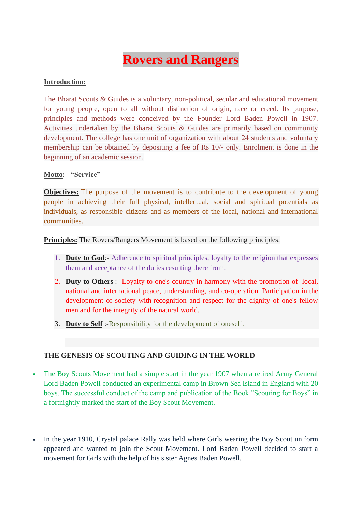## **Rovers and Rangers**

## **Introduction:**

The Bharat Scouts & Guides is a voluntary, non-political, secular and educational movement for young people, open to all without distinction of origin, race or creed. Its purpose, principles and methods were conceived by the Founder Lord Baden Powell in 1907. Activities undertaken by the Bharat Scouts & Guides are primarily based on community development. The college has one unit of organization with about 24 students and voluntary membership can be obtained by depositing a fee of Rs 10/- only. Enrolment is done in the beginning of an academic session.

**Motto: "Service"**

**Objectives:** The purpose of the movement is to contribute to the development of young people in achieving their full physical, intellectual, social and spiritual potentials as individuals, as responsible citizens and as members of the local, national and international communities.

**Principles:** The Rovers/Rangers Movement is based on the following principles.

- 1. **Duty to God**:- Adherence to spiritual principles, loyalty to the religion that expresses them and acceptance of the duties resulting there from.
- 2. **Duty to Others** :- Loyalty to one's country in harmony with the promotion of local, national and international peace, understanding, and co-operation. Participation in the development of society with recognition and respect for the dignity of one's fellow men and for the integrity of the natural world.
- 3. **Duty to Self** :-Responsibility for the development of oneself.

## **THE GENESIS OF SCOUTING AND GUIDING IN THE WORLD**

- The Boy Scouts Movement had a simple start in the year 1907 when a retired Army General Lord Baden Powell conducted an experimental camp in Brown Sea Island in England with 20 boys. The successful conduct of the camp and publication of the Book "Scouting for Boys" in a fortnightly marked the start of the Boy Scout Movement.
- In the year 1910, Crystal palace Rally was held where Girls wearing the Boy Scout uniform appeared and wanted to join the Scout Movement. Lord Baden Powell decided to start a movement for Girls with the help of his sister Agnes Baden Powell.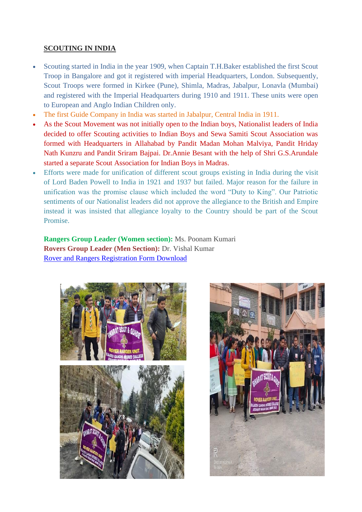## **SCOUTING IN INDIA**

- Scouting started in India in the year 1909, when Captain T.H.Baker established the first Scout Troop in Bangalore and got it registered with imperial Headquarters, London. Subsequently, Scout Troops were formed in Kirkee (Pune), Shimla, Madras, Jabalpur, Lonavla (Mumbai) and registered with the Imperial Headquarters during 1910 and 1911. These units were open to European and Anglo Indian Children only.
- The first Guide Company in India was started in Jabalpur, Central India in 1911.
- As the Scout Movement was not initially open to the Indian boys, Nationalist leaders of India decided to offer Scouting activities to Indian Boys and Sewa Samiti Scout Association was formed with Headquarters in Allahabad by Pandit Madan Mohan Malviya, Pandit Hriday Nath Kunzru and Pandit Sriram Bajpai. Dr.Annie Besant with the help of Shri G.S.Arundale started a separate Scout Association for Indian Boys in Madras.
- Efforts were made for unification of different scout groups existing in India during the visit of Lord Baden Powell to India in 1921 and 1937 but failed. Major reason for the failure in unification was the promise clause which included the word "Duty to King". Our Patriotic sentiments of our Nationalist leaders did not approve the allegiance to the British and Empire instead it was insisted that allegiance loyalty to the Country should be part of the Scout Promise.

**Rangers Group Leader (Women section):** Ms. Poonam Kumari **Rovers Group Leader (Men Section):** Dr. Vishal Kumar [Rover and Rangers Registration Form Download](https://drive.google.com/file/d/1doQsUyyrwWLmELO1lpX9ZdmFVMhbLNVB/view?usp=sharing)